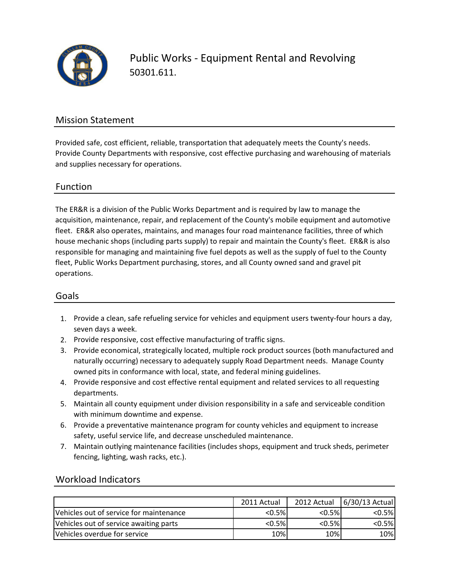

Public Works - Equipment Rental and Revolving 50301.611.

### Mission Statement

Provided safe, cost efficient, reliable, transportation that adequately meets the County's needs. Provide County Departments with responsive, cost effective purchasing and warehousing of materials and supplies necessary for operations.

### Function

The ER&R is a division of the Public Works Department and is required by law to manage the acquisition, maintenance, repair, and replacement of the County's mobile equipment and automotive fleet. ER&R also operates, maintains, and manages four road maintenance facilities, three of which house mechanic shops (including parts supply) to repair and maintain the County's fleet. ER&R is also responsible for managing and maintaining five fuel depots as well as the supply of fuel to the County fleet, Public Works Department purchasing, stores, and all County owned sand and gravel pit operations.

#### Goals

- 1. Provide a clean, safe refueling service for vehicles and equipment users twenty-four hours a day, seven days a week.
- 2. Provide responsive, cost effective manufacturing of traffic signs.
- 3. Provide economical, strategically located, multiple rock product sources (both manufactured and naturally occurring) necessary to adequately supply Road Department needs. Manage County owned pits in conformance with local, state, and federal mining guidelines.
- 4. Provide responsive and cost effective rental equipment and related services to all requesting departments.
- 5. Maintain all county equipment under division responsibility in a safe and serviceable condition with minimum downtime and expense.
- 6. Provide a preventative maintenance program for county vehicles and equipment to increase safety, useful service life, and decrease unscheduled maintenance.
- 7. Maintain outlying maintenance facilities (includes shops, equipment and truck sheds, perimeter fencing, lighting, wash racks, etc.).

### Workload Indicators

|                                         | 2011 Actual | 2012 Actual | 6/30/13 Actual |
|-----------------------------------------|-------------|-------------|----------------|
| Vehicles out of service for maintenance | $< 0.5\%$   | < 0.5%      | $< 0.5\%$      |
| Vehicles out of service awaiting parts  | $< 0.5\%$   | < 0.5%      | $< 0.5\%$      |
| Vehicles overdue for service            | 10%         | 10%         | 10%            |